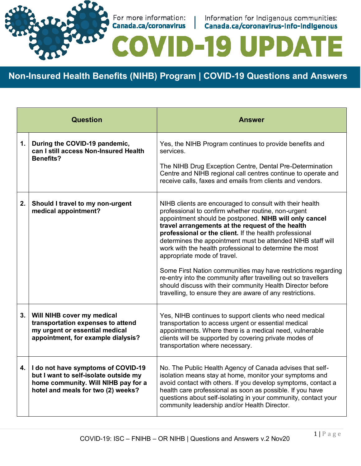

For more information: | Information for Indigenous communities:<br> **Canada.ca/coronavirus | Canada.ca/coronavirus-info-indigenous** 

15

**D-19 UPDA** 

**Non-Insured Health Benefits (NIHB) Program | COVID-19 Questions and Answers**

| <b>Question</b> |                                                                                                                                                          | Answer                                                                                                                                                                                                                                                                                                                                                                                                                                                                                                                                                                                                                                                                                                         |
|-----------------|----------------------------------------------------------------------------------------------------------------------------------------------------------|----------------------------------------------------------------------------------------------------------------------------------------------------------------------------------------------------------------------------------------------------------------------------------------------------------------------------------------------------------------------------------------------------------------------------------------------------------------------------------------------------------------------------------------------------------------------------------------------------------------------------------------------------------------------------------------------------------------|
| 1.              | During the COVID-19 pandemic,<br>can I still access Non-Insured Health<br><b>Benefits?</b>                                                               | Yes, the NIHB Program continues to provide benefits and<br>services.<br>The NIHB Drug Exception Centre, Dental Pre-Determination<br>Centre and NIHB regional call centres continue to operate and<br>receive calls, faxes and emails from clients and vendors.                                                                                                                                                                                                                                                                                                                                                                                                                                                 |
| 2.              | Should I travel to my non-urgent<br>medical appointment?                                                                                                 | NIHB clients are encouraged to consult with their health<br>professional to confirm whether routine, non-urgent<br>appointment should be postponed. NIHB will only cancel<br>travel arrangements at the request of the health<br>professional or the client. If the health professional<br>determines the appointment must be attended NIHB staff will<br>work with the health professional to determine the most<br>appropriate mode of travel.<br>Some First Nation communities may have restrictions regarding<br>re-entry into the community after travelling out so travellers<br>should discuss with their community Health Director before<br>travelling, to ensure they are aware of any restrictions. |
| 3.              | Will NIHB cover my medical<br>transportation expenses to attend<br>my urgent or essential medical<br>appointment, for example dialysis?                  | Yes, NIHB continues to support clients who need medical<br>transportation to access urgent or essential medical<br>appointments. Where there is a medical need, vulnerable<br>clients will be supported by covering private modes of<br>transportation where necessary.                                                                                                                                                                                                                                                                                                                                                                                                                                        |
| 4.              | I do not have symptoms of COVID-19<br>but I want to self-isolate outside my<br>home community. Will NIHB pay for a<br>hotel and meals for two (2) weeks? | No. The Public Health Agency of Canada advises that self-<br>isolation means stay at home, monitor your symptoms and<br>avoid contact with others. If you develop symptoms, contact a<br>health care professional as soon as possible. If you have<br>questions about self-isolating in your community, contact your<br>community leadership and/or Health Director.                                                                                                                                                                                                                                                                                                                                           |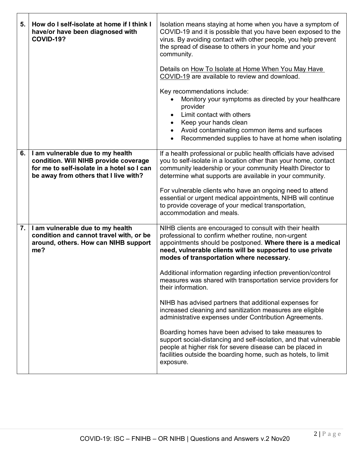| 5. | How do I self-isolate at home if I think I<br>have/or have been diagnosed with<br><b>COVID-19?</b>                                                               | Isolation means staying at home when you have a symptom of<br>COVID-19 and it is possible that you have been exposed to the<br>virus. By avoiding contact with other people, you help prevent<br>the spread of disease to others in your home and your<br>community.<br>Details on How To Isolate at Home When You May Have<br>COVID-19 are available to review and download.<br>Key recommendations include:<br>Monitory your symptoms as directed by your healthcare<br>provider<br>Limit contact with others<br>Keep your hands clean<br>Avoid contaminating common items and surfaces<br>Recommended supplies to have at home when isolating                                                                                                                                                                                                                                                         |
|----|------------------------------------------------------------------------------------------------------------------------------------------------------------------|----------------------------------------------------------------------------------------------------------------------------------------------------------------------------------------------------------------------------------------------------------------------------------------------------------------------------------------------------------------------------------------------------------------------------------------------------------------------------------------------------------------------------------------------------------------------------------------------------------------------------------------------------------------------------------------------------------------------------------------------------------------------------------------------------------------------------------------------------------------------------------------------------------|
| 6. | I am vulnerable due to my health<br>condition. Will NIHB provide coverage<br>for me to self-isolate in a hotel so I can<br>be away from others that I live with? | If a health professional or public health officials have advised<br>you to self-isolate in a location other than your home, contact<br>community leadership or your community Health Director to<br>determine what supports are available in your community.<br>For vulnerable clients who have an ongoing need to attend<br>essential or urgent medical appointments, NIHB will continue<br>to provide coverage of your medical transportation,<br>accommodation and meals.                                                                                                                                                                                                                                                                                                                                                                                                                             |
| 7. | I am vulnerable due to my health<br>condition and cannot travel with, or be<br>around, others. How can NIHB support<br>me?                                       | NIHB clients are encouraged to consult with their health<br>professional to confirm whether routine, non-urgent<br>appointments should be postponed. Where there is a medical<br>need, vulnerable clients will be supported to use private<br>modes of transportation where necessary.<br>Additional information regarding infection prevention/control<br>measures was shared with transportation service providers for<br>their information.<br>NIHB has advised partners that additional expenses for<br>increased cleaning and sanitization measures are eligible<br>administrative expenses under Contribution Agreements.<br>Boarding homes have been advised to take measures to<br>support social-distancing and self-isolation, and that vulnerable<br>people at higher risk for severe disease can be placed in<br>facilities outside the boarding home, such as hotels, to limit<br>exposure. |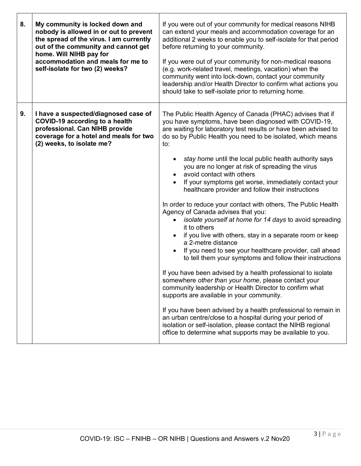| 8. | My community is locked down and<br>nobody is allowed in or out to prevent<br>the spread of the virus. I am currently<br>out of the community and cannot get<br>home. Will NIHB pay for<br>accommodation and meals for me to<br>self-isolate for two (2) weeks? | If you were out of your community for medical reasons NIHB<br>can extend your meals and accommodation coverage for an<br>additional 2 weeks to enable you to self-isolate for that period<br>before returning to your community.<br>If you were out of your community for non-medical reasons<br>(e.g. work-related travel, meetings, vacation) when the<br>community went into lock-down, contact your community<br>leadership and/or Health Director to confirm what actions you<br>should take to self-isolate prior to returning home.                                                                                                                                                                                                                                                                                                                                                                                                                                                                                                                                                                                                                                                                                                                                                                                                                                                                   |
|----|----------------------------------------------------------------------------------------------------------------------------------------------------------------------------------------------------------------------------------------------------------------|--------------------------------------------------------------------------------------------------------------------------------------------------------------------------------------------------------------------------------------------------------------------------------------------------------------------------------------------------------------------------------------------------------------------------------------------------------------------------------------------------------------------------------------------------------------------------------------------------------------------------------------------------------------------------------------------------------------------------------------------------------------------------------------------------------------------------------------------------------------------------------------------------------------------------------------------------------------------------------------------------------------------------------------------------------------------------------------------------------------------------------------------------------------------------------------------------------------------------------------------------------------------------------------------------------------------------------------------------------------------------------------------------------------|
| 9. | I have a suspected/diagnosed case of<br><b>COVID-19 according to a health</b><br>professional. Can NIHB provide<br>coverage for a hotel and meals for two<br>(2) weeks, to isolate me?                                                                         | The Public Health Agency of Canada (PHAC) advises that if<br>you have symptoms, have been diagnosed with COVID-19,<br>are waiting for laboratory test results or have been advised to<br>do so by Public Health you need to be isolated, which means<br>to:<br>stay home until the local public health authority says<br>you are no longer at risk of spreading the virus<br>avoid contact with others<br>If your symptoms get worse, immediately contact your<br>healthcare provider and follow their instructions<br>In order to reduce your contact with others, The Public Health<br>Agency of Canada advises that you:<br>isolate yourself at home for 14 days to avoid spreading<br>it to others<br>if you live with others, stay in a separate room or keep<br>a 2-metre distance<br>If you need to see your healthcare provider, call ahead<br>to tell them your symptoms and follow their instructions<br>If you have been advised by a health professional to isolate<br>somewhere other than your home, please contact your<br>community leadership or Health Director to confirm what<br>supports are available in your community.<br>If you have been advised by a health professional to remain in<br>an urban centre/close to a hospital during your period of<br>isolation or self-isolation, please contact the NIHB regional<br>office to determine what supports may be available to you. |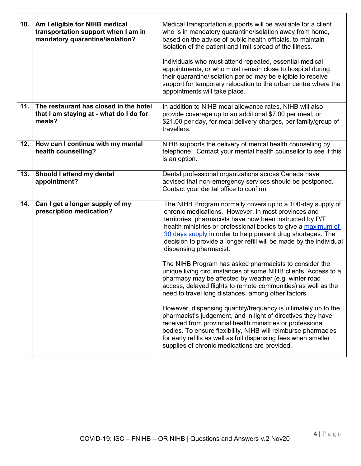| 10. | Am I eligible for NIHB medical<br>transportation support when I am in<br>mandatory quarantine/isolation? | Medical transportation supports will be available for a client<br>who is in mandatory quarantine/isolation away from home,<br>based on the advice of public health officials, to maintain<br>isolation of the patient and limit spread of the illness.<br>Individuals who must attend repeated, essential medical<br>appointments, or who must remain close to hospital during<br>their quarantine/isolation period may be eligible to receive<br>support for temporary relocation to the urban centre where the<br>appointments will take place.                                                                                                                                                                         |
|-----|----------------------------------------------------------------------------------------------------------|---------------------------------------------------------------------------------------------------------------------------------------------------------------------------------------------------------------------------------------------------------------------------------------------------------------------------------------------------------------------------------------------------------------------------------------------------------------------------------------------------------------------------------------------------------------------------------------------------------------------------------------------------------------------------------------------------------------------------|
| 11. | The restaurant has closed in the hotel<br>that I am staying at - what do I do for<br>meals?              | In addition to NIHB meal allowance rates, NIHB will also<br>provide coverage up to an additional \$7.00 per meal, or<br>\$21.00 per day, for meal delivery charges, per family/group of<br>travellers.                                                                                                                                                                                                                                                                                                                                                                                                                                                                                                                    |
| 12. | How can I continue with my mental<br>health counselling?                                                 | NIHB supports the delivery of mental health counselling by<br>telephone. Contact your mental health counsellor to see if this<br>is an option.                                                                                                                                                                                                                                                                                                                                                                                                                                                                                                                                                                            |
| 13. | Should I attend my dental<br>appointment?                                                                | Dental professional organizations across Canada have<br>advised that non-emergency services should be postponed.<br>Contact your dental office to confirm.                                                                                                                                                                                                                                                                                                                                                                                                                                                                                                                                                                |
| 14. | Can I get a longer supply of my<br>prescription medication?                                              | The NIHB Program normally covers up to a 100-day supply of<br>chronic medications. However, in most provinces and<br>territories, pharmacists have now been instructed by P/T<br>health ministries or professional bodies to give a maximum of<br>30 days supply in order to help prevent drug shortages. The<br>decision to provide a longer refill will be made by the individual<br>dispensing pharmacist.<br>The NIHB Program has asked pharmacists to consider the<br>unique living circumstances of some NIHB clients. Access to a<br>pharmacy may be affected by weather (e.g. winter road<br>access, delayed flights to remote communities) as well as the<br>need to travel long distances, among other factors. |
|     |                                                                                                          | However, dispensing quantity/frequency is ultimately up to the<br>pharmacist's judgement, and in light of directives they have<br>received from provincial health ministries or professional<br>bodies. To ensure flexibility, NIHB will reimburse pharmacies<br>for early refills as well as full dispensing fees when smaller<br>supplies of chronic medications are provided.                                                                                                                                                                                                                                                                                                                                          |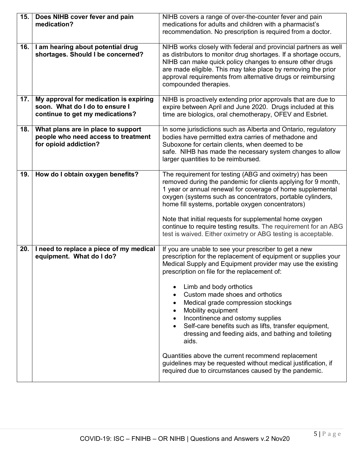| 15. | Does NIHB cover fever and pain<br>medication?                                                               | NIHB covers a range of over-the-counter fever and pain<br>medications for adults and children with a pharmacist's<br>recommendation. No prescription is required from a doctor.                                                                                                                                                                                                                                                                                                                                                                                                                                                                                                                                |
|-----|-------------------------------------------------------------------------------------------------------------|----------------------------------------------------------------------------------------------------------------------------------------------------------------------------------------------------------------------------------------------------------------------------------------------------------------------------------------------------------------------------------------------------------------------------------------------------------------------------------------------------------------------------------------------------------------------------------------------------------------------------------------------------------------------------------------------------------------|
| 16. | I am hearing about potential drug<br>shortages. Should I be concerned?                                      | NIHB works closely with federal and provincial partners as well<br>as distributors to monitor drug shortages. If a shortage occurs,<br>NIHB can make quick policy changes to ensure other drugs<br>are made eligible. This may take place by removing the prior<br>approval requirements from alternative drugs or reimbursing<br>compounded therapies.                                                                                                                                                                                                                                                                                                                                                        |
| 17. | My approval for medication is expiring<br>soon. What do I do to ensure I<br>continue to get my medications? | NIHB is proactively extending prior approvals that are due to<br>expire between April and June 2020. Drugs included at this<br>time are biologics, oral chemotherapy, OFEV and Esbriet.                                                                                                                                                                                                                                                                                                                                                                                                                                                                                                                        |
| 18. | What plans are in place to support<br>people who need access to treatment<br>for opioid addiction?          | In some jurisdictions such as Alberta and Ontario, regulatory<br>bodies have permitted extra carries of methadone and<br>Suboxone for certain clients, when deemed to be<br>safe. NIHB has made the necessary system changes to allow<br>larger quantities to be reimbursed.                                                                                                                                                                                                                                                                                                                                                                                                                                   |
| 19. | How do I obtain oxygen benefits?                                                                            | The requirement for testing (ABG and oximetry) has been<br>removed during the pandemic for clients applying for 9 month,<br>1 year or annual renewal for coverage of home supplemental<br>oxygen (systems such as concentrators, portable cylinders,<br>home fill systems, portable oxygen concentrators)<br>Note that initial requests for supplemental home oxygen<br>continue to require testing results. The requirement for an ABG<br>test is waived. Either oximetry or ABG testing is acceptable.                                                                                                                                                                                                       |
| 20. | I need to replace a piece of my medical<br>equipment. What do I do?                                         | If you are unable to see your prescriber to get a new<br>prescription for the replacement of equipment or supplies your<br>Medical Supply and Equipment provider may use the existing<br>prescription on file for the replacement of:<br>Limb and body orthotics<br>Custom made shoes and orthotics<br>Medical grade compression stockings<br>Mobility equipment<br>Incontinence and ostomy supplies<br>Self-care benefits such as lifts, transfer equipment,<br>dressing and feeding aids, and bathing and toileting<br>aids.<br>Quantities above the current recommend replacement<br>guidelines may be requested without medical justification, if<br>required due to circumstances caused by the pandemic. |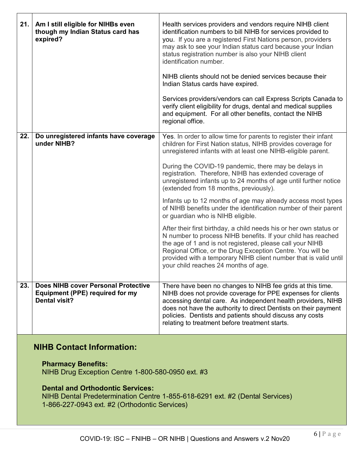| 21. | Am I still eligible for NIHBs even<br>though my Indian Status card has<br>expired?                                                                                       | Health services providers and vendors require NIHB client<br>identification numbers to bill NIHB for services provided to<br>you. If you are a registered First Nations person, providers<br>may ask to see your Indian status card because your Indian<br>status registration number is also your NIHB client<br>identification number.<br>NIHB clients should not be denied services because their<br>Indian Status cards have expired. |
|-----|--------------------------------------------------------------------------------------------------------------------------------------------------------------------------|-------------------------------------------------------------------------------------------------------------------------------------------------------------------------------------------------------------------------------------------------------------------------------------------------------------------------------------------------------------------------------------------------------------------------------------------|
|     |                                                                                                                                                                          | Services providers/vendors can call Express Scripts Canada to<br>verify client eligibility for drugs, dental and medical supplies<br>and equipment. For all other benefits, contact the NIHB<br>regional office.                                                                                                                                                                                                                          |
| 22. | Do unregistered infants have coverage<br>under NIHB?                                                                                                                     | Yes. In order to allow time for parents to register their infant<br>children for First Nation status, NIHB provides coverage for<br>unregistered infants with at least one NIHB-eligible parent.                                                                                                                                                                                                                                          |
|     |                                                                                                                                                                          | During the COVID-19 pandemic, there may be delays in<br>registration. Therefore, NIHB has extended coverage of<br>unregistered infants up to 24 months of age until further notice<br>(extended from 18 months, previously).                                                                                                                                                                                                              |
|     |                                                                                                                                                                          | Infants up to 12 months of age may already access most types<br>of NIHB benefits under the identification number of their parent<br>or guardian who is NIHB eligible.                                                                                                                                                                                                                                                                     |
|     |                                                                                                                                                                          | After their first birthday, a child needs his or her own status or<br>N number to process NIHB benefits. If your child has reached<br>the age of 1 and is not registered, please call your NIHB<br>Regional Office, or the Drug Exception Centre. You will be<br>provided with a temporary NIHB client number that is valid until<br>your child reaches 24 months of age.                                                                 |
| 23. | Does NIHB cover Personal Protective<br><b>Equipment (PPE) required for my</b><br><b>Dental visit?</b>                                                                    | There have been no changes to NIHB fee grids at this time.<br>NIHB does not provide coverage for PPE expenses for clients<br>accessing dental care. As independent health providers, NIHB<br>does not have the authority to direct Dentists on their payment<br>policies. Dentists and patients should discuss any costs<br>relating to treatment before treatment starts.                                                                |
|     | <b>NIHB Contact Information:</b>                                                                                                                                         |                                                                                                                                                                                                                                                                                                                                                                                                                                           |
|     | <b>Pharmacy Benefits:</b><br>NIHB Drug Exception Centre 1-800-580-0950 ext. #3                                                                                           |                                                                                                                                                                                                                                                                                                                                                                                                                                           |
|     | <b>Dental and Orthodontic Services:</b><br>NIHB Dental Predetermination Centre 1-855-618-6291 ext. #2 (Dental Services)<br>1-866-227-0943 ext. #2 (Orthodontic Services) |                                                                                                                                                                                                                                                                                                                                                                                                                                           |